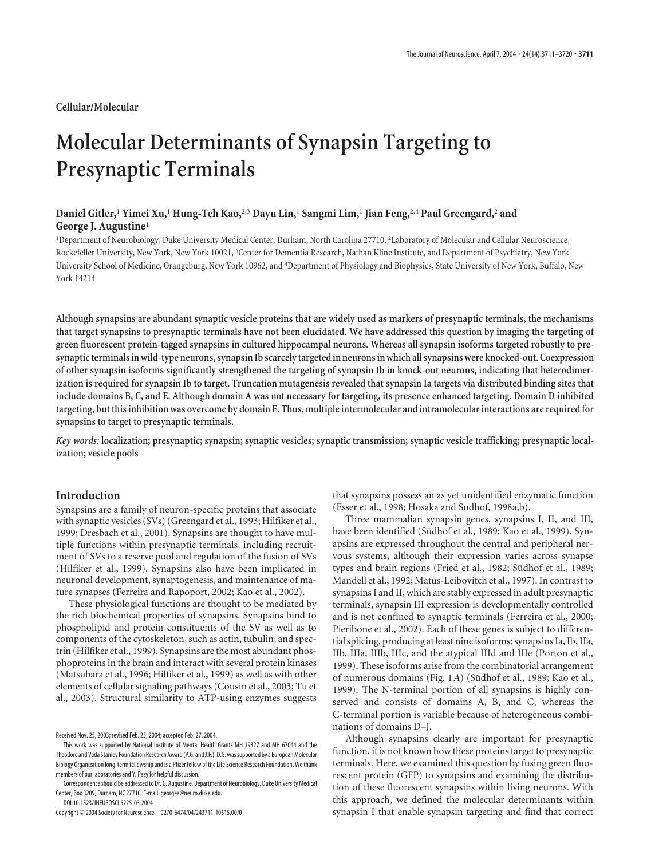# **Molecular Determinants of Synapsin Targeting to Presynaptic Terminals**

## **Daniel Gitler,**<sup>1</sup> **Yimei Xu,**<sup>1</sup> **Hung-Teh Kao,**2,3 **Dayu Lin,**<sup>1</sup> **Sangmi Lim,**<sup>1</sup> **Jian Feng,**2,4 **Paul Greengard,**<sup>2</sup> **and George J. Augustine**<sup>1</sup>

1 Department of Neurobiology, Duke University Medical Center, Durham, North Carolina 27710, <sup>2</sup> Laboratory of Molecular and Cellular Neuroscience, Rockefeller University, New York, New York 10021, <sup>3</sup>Center for Dementia Research, Nathan Kline Institute, and Department of Psychiatry, New York University School of Medicine, Orangeburg, New York 10962, and <sup>4</sup> Department of Physiology and Biophysics, State University of New York, Buffalo, New York 14214

**Although synapsins are abundant synaptic vesicle proteins that are widely used as markers of presynaptic terminals, the mechanisms that target synapsins to presynaptic terminals have not been elucidated. We have addressed this question by imaging the targeting of green fluorescent protein-tagged synapsins in cultured hippocampal neurons. Whereas all synapsin isoforms targeted robustly to presynaptic terminals in wild-type neurons, synapsin Ib scarcely targeted in neurons in which all synapsins were knocked-out. Coexpression of other synapsin isoforms significantly strengthened the targeting of synapsin Ib in knock-out neurons, indicating that heterodimerization is required for synapsin Ib to target. Truncation mutagenesis revealed that synapsin Ia targets via distributed binding sites that include domains B, C, and E. Although domain A was not necessary for targeting, its presence enhanced targeting. Domain D inhibited targeting, but this inhibition was overcome by domain E. Thus, multiple intermolecular and intramolecular interactions are required for synapsins to target to presynaptic terminals.**

*Key words:* **localization; presynaptic; synapsin; synaptic vesicles; synaptic transmission; synaptic vesicle trafficking; presynaptic localization; vesicle pools**

## **Introduction**

Synapsins are a family of neuron-specific proteins that associate with synaptic vesicles (SVs) (Greengard et al., 1993; Hilfiker et al., 1999; Dresbach et al., 2001). Synapsins are thought to have multiple functions within presynaptic terminals, including recruitment of SVs to a reserve pool and regulation of the fusion of SVs (Hilfiker et al., 1999). Synapsins also have been implicated in neuronal development, synaptogenesis, and maintenance of mature synapses (Ferreira and Rapoport, 2002; Kao et al., 2002).

These physiological functions are thought to be mediated by the rich biochemical properties of synapsins. Synapsins bind to phospholipid and protein constituents of the SV as well as to components of the cytoskeleton, such as actin, tubulin, and spectrin (Hilfiker et al., 1999). Synapsins are the most abundant phosphoproteins in the brain and interact with several protein kinases (Matsubara et al., 1996; Hilfiker et al., 1999) as well as with other elements of cellular signaling pathways (Cousin et al., 2003; Tu et al., 2003). Structural similarity to ATP-using enzymes suggests

DOI:10.1523/JNEUROSCI.5225-03.2004

Copyright © 2004 Society for Neuroscience 0270-6474/04/243711-10\$15.00/0

that synapsins possess an as yet unidentified enzymatic function (Esser et al., 1998; Hosaka and Südhof, 1998a,b).

Three mammalian synapsin genes, synapsins I, II, and III, have been identified (Südhof et al., 1989; Kao et al., 1999). Synapsins are expressed throughout the central and peripheral nervous systems, although their expression varies across synapse types and brain regions (Fried et al., 1982; Südhof et al., 1989; Mandell et al., 1992; Matus-Leibovitch et al., 1997). In contrast to synapsins I and II, which are stably expressed in adult presynaptic terminals, synapsin III expression is developmentally controlled and is not confined to synaptic terminals (Ferreira et al., 2000; Pieribone et al., 2002). Each of these genes is subject to differential splicing, producing at least nine isoforms: synapsins Ia, Ib, IIa, IIb, IIIa, IIIb, IIIc, and the atypical IIId and IIIe (Porton et al., 1999). These isoforms arise from the combinatorial arrangement of numerous domains (Fig. 1A) (Südhof et al., 1989; Kao et al., 1999). The N-terminal portion of all synapsins is highly conserved and consists of domains A, B, and C, whereas the C-terminal portion is variable because of heterogeneous combinations of domains D–J.

Although synapsins clearly are important for presynaptic function, it is not known how these proteins target to presynaptic terminals. Here, we examined this question by fusing green fluorescent protein (GFP) to synapsins and examining the distribution of these fluorescent synapsins within living neurons. With this approach, we defined the molecular determinants within synapsin I that enable synapsin targeting and find that correct

Received Nov. 25, 2003; revised Feb. 25, 2004; accepted Feb. 27, 2004.

This work was supported by National Institute of Mental Health Grants MH 39327 and MH 67044 and the Theodore and Vada Stanley Foundation Research Award (P.G. and J.F.). D.G. was supported by a European Molecular Biology Organization long-term fellowship and is a Pfizer fellow of the Life Science Research Foundation. We thank members of our laboratories and Y. Pazy for helpful discussion.

Correspondence should be addressed to Dr. G. Augustine, Department of Neurobiology, Duke University Medical Center, Box 3209, Durham, NC 27710. E-mail: georgea@neuro.duke.edu.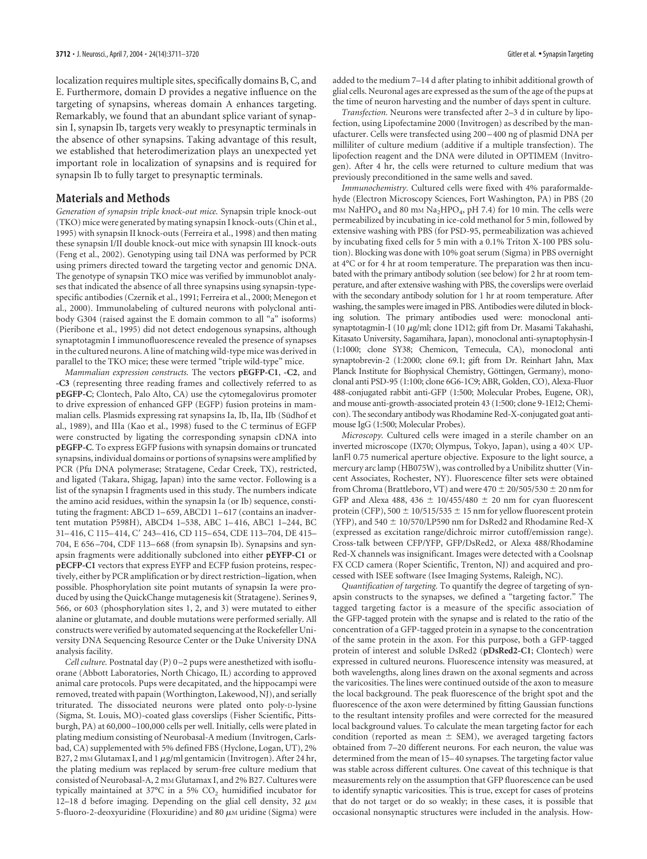localization requires multiple sites, specifically domains B, C, and E. Furthermore, domain D provides a negative influence on the targeting of synapsins, whereas domain A enhances targeting. Remarkably, we found that an abundant splice variant of synapsin I, synapsin Ib, targets very weakly to presynaptic terminals in the absence of other synapsins. Taking advantage of this result, we established that heterodimerization plays an unexpected yet important role in localization of synapsins and is required for synapsin Ib to fully target to presynaptic terminals.

## **Materials and Methods**

*Generation of synapsin triple knock-out mice.* Synapsin triple knock-out (TKO) mice were generated by mating synapsin I knock-outs (Chin et al., 1995) with synapsin II knock-outs (Ferreira et al., 1998) and then mating these synapsin I/II double knock-out mice with synapsin III knock-outs (Feng et al., 2002). Genotyping using tail DNA was performed by PCR using primers directed toward the targeting vector and genomic DNA. The genotype of synapsin TKO mice was verified by immunoblot analyses that indicated the absence of all three synapsins using synapsin-typespecific antibodies (Czernik et al., 1991; Ferreira et al., 2000; Menegon et al., 2000). Immunolabeling of cultured neurons with polyclonal antibody G304 (raised against the E domain common to all "a" isoforms) (Pieribone et al., 1995) did not detect endogenous synapsins, although synaptotagmin I immunofluorescence revealed the presence of synapses in the cultured neurons. A line of matching wild-type mice was derived in parallel to the TKO mice; these were termed "triple wild-type" mice.

*Mammalian expression constructs.* The vectors **pEGFP-C1**, **-C2**, and **-C3** (representing three reading frames and collectively referred to as **pEGFP-C**; Clontech, Palo Alto, CA) use the cytomegalovirus promoter to drive expression of enhanced GFP (EGFP) fusion proteins in mammalian cells. Plasmids expressing rat synapsins Ia, Ib, IIa, IIb (Südhof et al., 1989), and IIIa (Kao et al., 1998) fused to the C terminus of EGFP were constructed by ligating the corresponding synapsin cDNA into **pEGFP-C**. To express EGFP fusions with synapsin domains or truncated synapsins, individual domains or portions of synapsins were amplified by PCR (Pfu DNA polymerase; Stratagene, Cedar Creek, TX), restricted, and ligated (Takara, Shigag, Japan) into the same vector. Following is a list of the synapsin I fragments used in this study. The numbers indicate the amino acid residues, within the synapsin Ia (or Ib) sequence, constituting the fragment: ABCD 1–659, ABCD1 1–617 (contains an inadvertent mutation P598H), ABCD4 1–538, ABC 1–416, ABC1 1–244, BC 31–416, C 115–414, C 243–416, CD 115–654, CDE 113–704, DE 415– 704, E 656–704, CDF 113–668 (from synapsin Ib). Synapsins and synapsin fragments were additionally subcloned into either **pEYFP-C1** or **pECFP-C1** vectors that express EYFP and ECFP fusion proteins, respectively, either by PCR amplification or by direct restriction–ligation, when possible. Phosphorylation site point mutants of synapsin Ia were produced by using the QuickChange mutagenesis kit (Stratagene). Serines 9, 566, or 603 (phosphorylation sites 1, 2, and 3) were mutated to either alanine or glutamate, and double mutations were performed serially. All constructs were verified by automated sequencing at the Rockefeller University DNA Sequencing Resource Center or the Duke University DNA analysis facility.

*Cell culture.* Postnatal day (P) 0–2 pups were anesthetized with isofluorane (Abbott Laboratories, North Chicago, IL) according to approved animal care protocols. Pups were decapitated, and the hippocampi were removed, treated with papain (Worthington, Lakewood, NJ), and serially triturated. The dissociated neurons were plated onto poly-D-lysine (Sigma, St. Louis, MO)-coated glass coverslips (Fisher Scientific, Pittsburgh, PA) at 60,000–100,000 cells per well. Initially, cells were plated in plating medium consisting of Neurobasal-A medium (Invitrogen, Carlsbad, CA) supplemented with 5% defined FBS (Hyclone, Logan, UT), 2% B27, 2 mM Glutamax I, and 1  $\mu$ g/ml gentamicin (Invitrogen). After 24 hr, the plating medium was replaced by serum-free culture medium that consisted of Neurobasal-A, 2 mm Glutamax I, and 2% B27. Cultures were typically maintained at  $37^{\circ}$ C in a 5% CO<sub>2</sub> humidified incubator for 12–18 d before imaging. Depending on the glial cell density, 32  $\mu$ M 5-fluoro-2-deoxyuridine (Floxuridine) and 80  $\mu$ M uridine (Sigma) were

added to the medium 7–14 d after plating to inhibit additional growth of glial cells. Neuronal ages are expressed as the sum of the age of the pups at the time of neuron harvesting and the number of days spent in culture.

*Transfection.* Neurons were transfected after 2–3 d in culture by lipofection, using Lipofectamine 2000 (Invitrogen) as described by the manufacturer. Cells were transfected using 200–400 ng of plasmid DNA per milliliter of culture medium (additive if a multiple transfection). The lipofection reagent and the DNA were diluted in OPTIMEM (Invitrogen). After 4 hr, the cells were returned to culture medium that was previously preconditioned in the same wells and saved.

*Immunochemistry.* Cultured cells were fixed with 4% paraformaldehyde (Electron Microscopy Sciences, Fort Washington, PA) in PBS (20 mm NaHPO<sub>4</sub> and 80 mm Na<sub>2</sub>HPO<sub>4</sub>, pH 7.4) for 10 min. The cells were permeabilized by incubating in ice-cold methanol for 5 min, followed by extensive washing with PBS (for PSD-95, permeabilization was achieved by incubating fixed cells for 5 min with a 0.1% Triton X-100 PBS solution). Blocking was done with 10% goat serum (Sigma) in PBS overnight at 4°C or for 4 hr at room temperature. The preparation was then incubated with the primary antibody solution (see below) for 2 hr at room temperature, and after extensive washing with PBS, the coverslips were overlaid with the secondary antibody solution for 1 hr at room temperature. After washing, the samples were imaged in PBS. Antibodies were diluted in blocking solution. The primary antibodies used were: monoclonal antisynaptotagmin-I (10  $\mu$ g/ml; clone 1D12; gift from Dr. Masami Takahashi, Kitasato University, Sagamihara, Japan), monoclonal anti-synaptophysin-I (1:1000; clone SY38; Chemicon, Temecula, CA), monoclonal anti synaptobrevin-2 (1:2000; clone 69.1; gift from Dr. Reinhart Jahn, Max Planck Institute for Biophysical Chemistry, Göttingen, Germany), monoclonal anti PSD-95 (1:100; clone 6G6-1C9; ABR, Golden, CO), Alexa-Fluor 488-conjugated rabbit anti-GFP (1:500; Molecular Probes, Eugene, OR), and mouse anti-growth-associated protein 43 (1:500; clone 9-1E12; Chemicon). The secondary antibody was Rhodamine Red-X-conjugated goat antimouse IgG (1:500; Molecular Probes).

*Microscopy.* Cultured cells were imaged in a sterile chamber on an inverted microscope (IX70; Olympus, Tokyo, Japan), using a  $40\times$  UPlanFl 0.75 numerical aperture objective. Exposure to the light source, a mercury arc lamp (HB075W), was controlled by a Unibilitz shutter (Vincent Associates, Rochester, NY). Fluorescence filter sets were obtained from Chroma (Brattleboro, VT) and were 470  $\pm$  20/505/530  $\pm$  20 nm for GFP and Alexa 488, 436  $\pm$  10/455/480  $\pm$  20 nm for cyan fluorescent protein (CFP), 500  $\pm$  10/515/535  $\pm$  15 nm for yellow fluorescent protein (YFP), and 540  $\pm$  10/570/LP590 nm for DsRed2 and Rhodamine Red-X (expressed as excitation range/dichroic mirror cutoff/emission range). Cross-talk between CFP/YFP, GFP/DsRed2, or Alexa 488/Rhodamine Red-X channels was insignificant. Images were detected with a Coolsnap FX CCD camera (Roper Scientific, Trenton, NJ) and acquired and processed with ISEE software (Isee Imaging Systems, Raleigh, NC).

*Quantification of targeting.* To quantify the degree of targeting of synapsin constructs to the synapses, we defined a "targeting factor." The tagged targeting factor is a measure of the specific association of the GFP-tagged protein with the synapse and is related to the ratio of the concentration of a GFP-tagged protein in a synapse to the concentration of the same protein in the axon. For this purpose, both a GFP-tagged protein of interest and soluble DsRed2 (**pDsRed2-C1**; Clontech) were expressed in cultured neurons. Fluorescence intensity was measured, at both wavelengths, along lines drawn on the axonal segments and across the varicosities. The lines were continued outside of the axon to measure the local background. The peak fluorescence of the bright spot and the fluorescence of the axon were determined by fitting Gaussian functions to the resultant intensity profiles and were corrected for the measured local background values. To calculate the mean targeting factor for each condition (reported as mean  $\pm$  SEM), we averaged targeting factors obtained from 7–20 different neurons. For each neuron, the value was determined from the mean of 15–40 synapses. The targeting factor value was stable across different cultures. One caveat of this technique is that measurements rely on the assumption that GFP fluorescence can be used to identify synaptic varicosities. This is true, except for cases of proteins that do not target or do so weakly; in these cases, it is possible that occasional nonsynaptic structures were included in the analysis. How-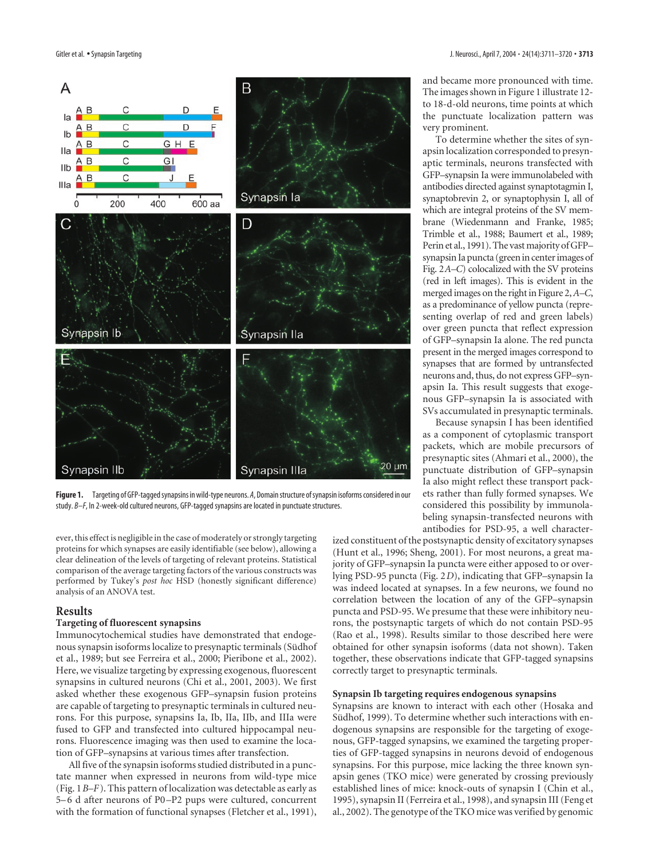

**Figure 1.** Targeting of GFP-tagged synapsins in wild-type neurons. *A*, Domain structure of synapsin isoforms considered in our study. *B–F*, In 2-week-old cultured neurons, GFP-tagged synapsins are located in punctuate structures.

ever, this effect is negligible in the case of moderately or strongly targeting proteins for which synapses are easily identifiable (see below), allowing a clear delineation of the levels of targeting of relevant proteins. Statistical comparison of the average targeting factors of the various constructs was performed by Tukey's *post hoc* HSD (honestly significant difference) analysis of an ANOVA test.

## **Results**

## **Targeting of fluorescent synapsins**

Immunocytochemical studies have demonstrated that endogenous synapsin isoforms localize to presynaptic terminals (Südhof et al., 1989; but see Ferreira et al., 2000; Pieribone et al., 2002). Here, we visualize targeting by expressing exogenous, fluorescent synapsins in cultured neurons (Chi et al., 2001, 2003). We first asked whether these exogenous GFP–synapsin fusion proteins are capable of targeting to presynaptic terminals in cultured neurons. For this purpose, synapsins Ia, Ib, IIa, IIb, and IIIa were fused to GFP and transfected into cultured hippocampal neurons. Fluorescence imaging was then used to examine the location of GFP–synapsins at various times after transfection.

All five of the synapsin isoforms studied distributed in a punctate manner when expressed in neurons from wild-type mice (Fig. 1*B–F*). This pattern of localization was detectable as early as 5–6 d after neurons of P0–P2 pups were cultured, concurrent with the formation of functional synapses (Fletcher et al., 1991), and became more pronounced with time. The images shown in Figure 1 illustrate 12 to 18-d-old neurons, time points at which the punctuate localization pattern was very prominent.

To determine whether the sites of synapsin localization corresponded to presynaptic terminals, neurons transfected with GFP–synapsin Ia were immunolabeled with antibodies directed against synaptotagmin I, synaptobrevin 2, or synaptophysin I, all of which are integral proteins of the SV membrane (Wiedenmann and Franke, 1985; Trimble et al., 1988; Baumert et al., 1989; Perin et al., 1991). The vast majority of GFP– synapsin Ia puncta (green in center images of Fig. 2*A–C*) colocalized with the SV proteins (red in left images). This is evident in the merged images on the right in Figure 2,*A–C*, as a predominance of yellow puncta (representing overlap of red and green labels) over green puncta that reflect expression of GFP–synapsin Ia alone. The red puncta present in the merged images correspond to synapses that are formed by untransfected neurons and, thus, do not express GFP–synapsin Ia. This result suggests that exogenous GFP–synapsin Ia is associated with SVs accumulated in presynaptic terminals.

Because synapsin I has been identified as a component of cytoplasmic transport packets, which are mobile precursors of presynaptic sites (Ahmari et al., 2000), the punctuate distribution of GFP–synapsin Ia also might reflect these transport packets rather than fully formed synapses. We considered this possibility by immunolabeling synapsin-transfected neurons with antibodies for PSD-95, a well character-

ized constituent of the postsynaptic density of excitatory synapses (Hunt et al., 1996; Sheng, 2001). For most neurons, a great majority of GFP–synapsin Ia puncta were either apposed to or overlying PSD-95 puncta (Fig. 2*D*), indicating that GFP–synapsin Ia was indeed located at synapses. In a few neurons, we found no correlation between the location of any of the GFP–synapsin puncta and PSD-95. We presume that these were inhibitory neurons, the postsynaptic targets of which do not contain PSD-95 (Rao et al., 1998). Results similar to those described here were obtained for other synapsin isoforms (data not shown). Taken together, these observations indicate that GFP-tagged synapsins correctly target to presynaptic terminals.

## **Synapsin Ib targeting requires endogenous synapsins**

Synapsins are known to interact with each other (Hosaka and Südhof, 1999). To determine whether such interactions with endogenous synapsins are responsible for the targeting of exogenous, GFP-tagged synapsins, we examined the targeting properties of GFP-tagged synapsins in neurons devoid of endogenous synapsins. For this purpose, mice lacking the three known synapsin genes (TKO mice) were generated by crossing previously established lines of mice: knock-outs of synapsin I (Chin et al., 1995), synapsin II (Ferreira et al., 1998), and synapsin III (Feng et al., 2002). The genotype of the TKO mice was verified by genomic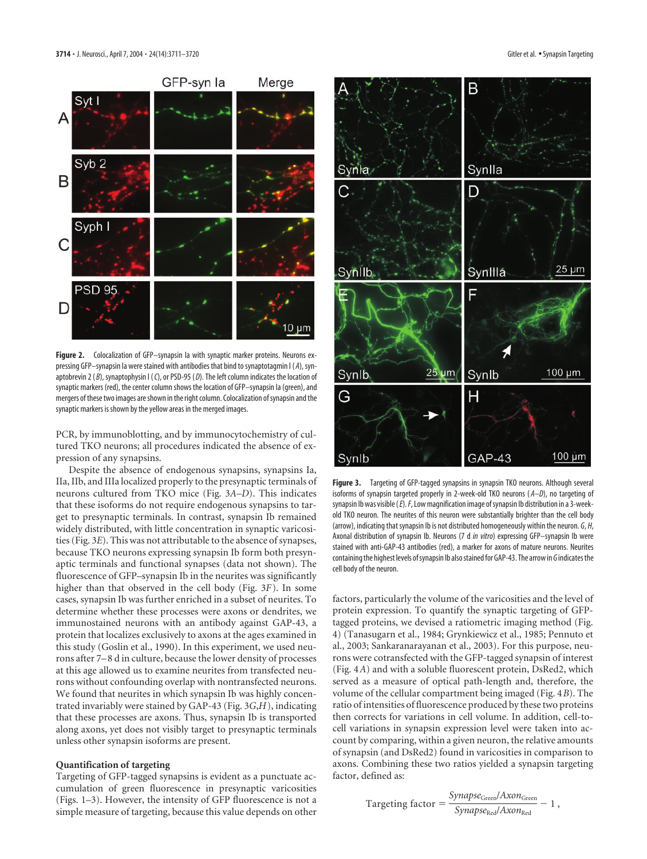

**Figure 2.** Colocalization of GFP-synapsin Ia with synaptic marker proteins. Neurons expressing GFP–synapsin Ia were stained with antibodies that bind to synaptotagmin I ( *A*), synaptobrevin 2 ( *B*), synaptophysin I (*C*), or PSD-95 ( *D*). The left column indicates the location of synaptic markers (red), the center column shows the location of GFP–synapsin Ia (green), and mergers of these two images are shown in the right column. Colocalization of synapsin and the synaptic markers is shown by the yellow areas in the merged images.

PCR, by immunoblotting, and by immunocytochemistry of cultured TKO neurons; all procedures indicated the absence of expression of any synapsins.

Despite the absence of endogenous synapsins, synapsins Ia, IIa, IIb, and IIIa localized properly to the presynaptic terminals of neurons cultured from TKO mice (Fig. 3*A–D*). This indicates that these isoforms do not require endogenous synapsins to target to presynaptic terminals. In contrast, synapsin Ib remained widely distributed, with little concentration in synaptic varicosities (Fig. 3*E*). This was not attributable to the absence of synapses, because TKO neurons expressing synapsin Ib form both presynaptic terminals and functional synapses (data not shown). The fluorescence of GFP–synapsin Ib in the neurites was significantly higher than that observed in the cell body (Fig. 3*F*). In some cases, synapsin Ib was further enriched in a subset of neurites. To determine whether these processes were axons or dendrites, we immunostained neurons with an antibody against GAP-43, a protein that localizes exclusively to axons at the ages examined in this study (Goslin et al., 1990). In this experiment, we used neurons after 7–8 d in culture, because the lower density of processes at this age allowed us to examine neurites from transfected neurons without confounding overlap with nontransfected neurons. We found that neurites in which synapsin Ib was highly concentrated invariably were stained by GAP-43 (Fig. 3*G*,*H*), indicating that these processes are axons. Thus, synapsin Ib is transported along axons, yet does not visibly target to presynaptic terminals unless other synapsin isoforms are present.

#### **Quantification of targeting**

Targeting of GFP-tagged synapsins is evident as a punctuate accumulation of green fluorescence in presynaptic varicosities (Figs. 1–3). However, the intensity of GFP fluorescence is not a simple measure of targeting, because this value depends on other



**Figure 3.** Targeting of GFP-tagged synapsins in synapsin TKO neurons. Although several isoforms of synapsin targeted properly in 2-week-old TKO neurons ( *A–D*), no targeting of synapsin Ib was visible (*E*).*F*, Low magnification image of synapsin Ib distribution in a 3-weekold TKO neuron. The neurites of this neuron were substantially brighter than the cell body (arrow), indicating that synapsin Ib is not distributed homogeneously within the neuron. *G*, *H*, Axonal distribution of synapsin Ib. Neurons (7 d *in vitro*) expressing GFP–synapsin Ib were stained with anti-GAP-43 antibodies (red), a marker for axons of mature neurons. Neurites containing the highest levels of synapsin Ib also stained for GAP-43. The arrow in *G* indicates the cell body of the neuron.

factors, particularly the volume of the varicosities and the level of protein expression. To quantify the synaptic targeting of GFPtagged proteins, we devised a ratiometric imaging method (Fig. 4) (Tanasugarn et al., 1984; Grynkiewicz et al., 1985; Pennuto et al., 2003; Sankaranarayanan et al., 2003). For this purpose, neurons were cotransfected with the GFP-tagged synapsin of interest (Fig. 4*A*) and with a soluble fluorescent protein, DsRed2, which served as a measure of optical path-length and, therefore, the volume of the cellular compartment being imaged (Fig. 4*B*). The ratio of intensities of fluorescence produced by these two proteins then corrects for variations in cell volume. In addition, cell-tocell variations in synapsin expression level were taken into account by comparing, within a given neuron, the relative amounts of synapsin (and DsRed2) found in varicosities in comparison to axons. Combining these two ratios yielded a synapsin targeting factor, defined as:

Targeting factor = 
$$
\frac{Synapse_{Green}/Axon_{Green}}{Synapse_{Red}/Axon_{Red}} - 1
$$
,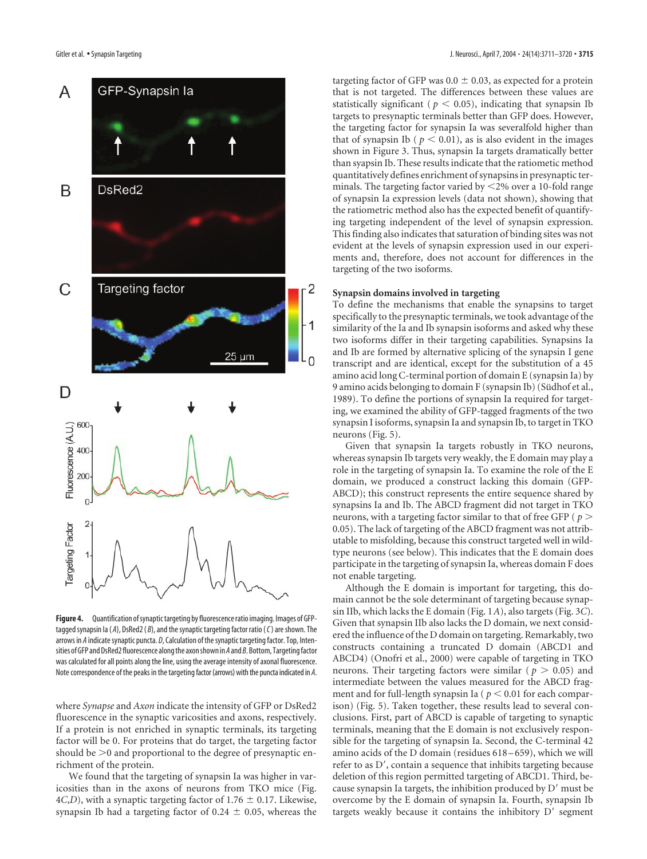

**Figure 4.** Quantification of synaptic targeting by fluorescence ratio imaging. Images of GFPtagged synapsin Ia ( *A*), DsRed2 ( *B*), and the synaptic targeting factor ratio (*C*) are shown. The arrows in *A* indicate synaptic puncta. *D*, Calculation of the synaptic targeting factor. Top, Intensities of GFP and DsRed2 fluorescence along the axon shown in*A*and *B*. Bottom, Targeting factor was calculated for all points along the line, using the average intensity of axonal fluorescence. Note correspondence of the peaks in the targeting factor (arrows) with the puncta indicated in A.

where *Synapse* and *Axon* indicate the intensity of GFP or DsRed2 fluorescence in the synaptic varicosities and axons, respectively. If a protein is not enriched in synaptic terminals, its targeting factor will be 0. For proteins that do target, the targeting factor should be  $>0$  and proportional to the degree of presynaptic enrichment of the protein.

We found that the targeting of synapsin Ia was higher in varicosities than in the axons of neurons from TKO mice (Fig. 4*C*,*D*), with a synaptic targeting factor of 1.76  $\pm$  0.17. Likewise, synapsin Ib had a targeting factor of 0.24  $\pm$  0.05, whereas the

targeting factor of GFP was  $0.0 \pm 0.03$ , as expected for a protein that is not targeted. The differences between these values are statistically significant ( $p < 0.05$ ), indicating that synapsin Ib targets to presynaptic terminals better than GFP does. However, the targeting factor for synapsin Ia was severalfold higher than that of synapsin Ib ( $p < 0.01$ ), as is also evident in the images shown in Figure 3. Thus, synapsin Ia targets dramatically better than syapsin Ib. These results indicate that the ratiometic method quantitatively defines enrichment of synapsins in presynaptic terminals. The targeting factor varied by 2% over a 10-fold range of synapsin Ia expression levels (data not shown), showing that the ratiometric method also has the expected benefit of quantifying targeting independent of the level of synapsin expression. This finding also indicates that saturation of binding sites was not evident at the levels of synapsin expression used in our experiments and, therefore, does not account for differences in the targeting of the two isoforms.

#### **Synapsin domains involved in targeting**

To define the mechanisms that enable the synapsins to target specifically to the presynaptic terminals, we took advantage of the similarity of the Ia and Ib synapsin isoforms and asked why these two isoforms differ in their targeting capabilities. Synapsins Ia and Ib are formed by alternative splicing of the synapsin I gene transcript and are identical, except for the substitution of a 45 amino acid long C-terminal portion of domain E (synapsin Ia) by 9 amino acids belonging to domain F (synapsin Ib) (Südhof et al., 1989). To define the portions of synapsin Ia required for targeting, we examined the ability of GFP-tagged fragments of the two synapsin I isoforms, synapsin Ia and synapsin Ib, to target in TKO neurons (Fig. 5).

Given that synapsin Ia targets robustly in TKO neurons, whereas synapsin Ib targets very weakly, the E domain may play a role in the targeting of synapsin Ia. To examine the role of the E domain, we produced a construct lacking this domain (GFP-ABCD); this construct represents the entire sequence shared by synapsins Ia and Ib. The ABCD fragment did not target in TKO neurons, with a targeting factor similar to that of free GFP ( *p* 0.05). The lack of targeting of the ABCD fragment was not attributable to misfolding, because this construct targeted well in wildtype neurons (see below). This indicates that the E domain does participate in the targeting of synapsin Ia, whereas domain F does not enable targeting.

Although the E domain is important for targeting, this domain cannot be the sole determinant of targeting because synapsin IIb, which lacks the E domain (Fig. 1*A*), also targets (Fig. 3*C*). Given that synapsin IIb also lacks the D domain, we next considered the influence of the D domain on targeting. Remarkably, two constructs containing a truncated D domain (ABCD1 and ABCD4) (Onofri et al., 2000) were capable of targeting in TKO neurons. Their targeting factors were similar ( $p > 0.05$ ) and intermediate between the values measured for the ABCD fragment and for full-length synapsin Ia ( $p < 0.01$  for each comparison) (Fig. 5). Taken together, these results lead to several conclusions. First, part of ABCD is capable of targeting to synaptic terminals, meaning that the E domain is not exclusively responsible for the targeting of synapsin Ia. Second, the C-terminal 42 amino acids of the D domain (residues 618–659), which we will refer to as  $D'$ , contain a sequence that inhibits targeting because deletion of this region permitted targeting of ABCD1. Third, because synapsin Ia targets, the inhibition produced by  $D'$  must be overcome by the E domain of synapsin Ia. Fourth, synapsin Ib targets weakly because it contains the inhibitory  $D'$  segment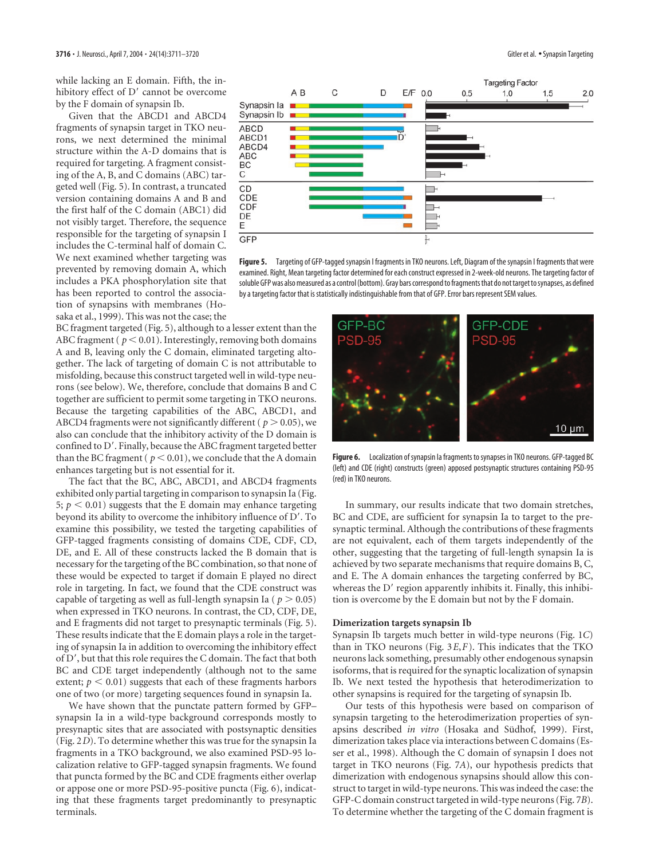while lacking an E domain. Fifth, the inhibitory effect of D' cannot be overcome by the F domain of synapsin Ib.

Given that the ABCD1 and ABCD4 fragments of synapsin target in TKO neurons, we next determined the minimal structure within the A-D domains that is required for targeting. A fragment consisting of the A, B, and C domains (ABC) targeted well (Fig. 5). In contrast, a truncated version containing domains A and B and the first half of the C domain (ABC1) did not visibly target. Therefore, the sequence responsible for the targeting of synapsin I includes the C-terminal half of domain C. We next examined whether targeting was prevented by removing domain A, which includes a PKA phosphorylation site that has been reported to control the association of synapsins with membranes (Hosaka et al., 1999). This was not the case; the

BC fragment targeted (Fig. 5), although to a lesser extent than the ABC fragment ( $p < 0.01$ ). Interestingly, removing both domains A and B, leaving only the C domain, eliminated targeting altogether. The lack of targeting of domain C is not attributable to misfolding, because this construct targeted well in wild-type neurons (see below). We, therefore, conclude that domains B and C together are sufficient to permit some targeting in TKO neurons. Because the targeting capabilities of the ABC, ABCD1, and ABCD4 fragments were not significantly different ( $p > 0.05$ ), we also can conclude that the inhibitory activity of the D domain is confined to D'. Finally, because the ABC fragment targeted better than the BC fragment ( $p < 0.01$ ), we conclude that the A domain enhances targeting but is not essential for it.

The fact that the BC, ABC, ABCD1, and ABCD4 fragments exhibited only partial targeting in comparison to synapsin Ia (Fig. 5;  $p < 0.01$ ) suggests that the E domain may enhance targeting beyond its ability to overcome the inhibitory influence of D'. To examine this possibility, we tested the targeting capabilities of GFP-tagged fragments consisting of domains CDE, CDF, CD, DE, and E. All of these constructs lacked the B domain that is necessary for the targeting of the BC combination, so that none of these would be expected to target if domain E played no direct role in targeting. In fact, we found that the CDE construct was capable of targeting as well as full-length synapsin Ia ( $p > 0.05$ ) when expressed in TKO neurons. In contrast, the CD, CDF, DE, and E fragments did not target to presynaptic terminals (Fig. 5). These results indicate that the E domain plays a role in the targeting of synapsin Ia in addition to overcoming the inhibitory effect of  $D'$ , but that this role requires the C domain. The fact that both BC and CDE target independently (although not to the same extent;  $p < 0.01$ ) suggests that each of these fragments harbors one of two (or more) targeting sequences found in synapsin Ia.

We have shown that the punctate pattern formed by GFP– synapsin Ia in a wild-type background corresponds mostly to presynaptic sites that are associated with postsynaptic densities (Fig. 2*D*). To determine whether this was true for the synapsin Ia fragments in a TKO background, we also examined PSD-95 localization relative to GFP-tagged synapsin fragments. We found that puncta formed by the BC and CDE fragments either overlap or appose one or more PSD-95-positive puncta (Fig. 6), indicating that these fragments target predominantly to presynaptic terminals.



**Figure 5.** Targeting of GFP-tagged synapsin I fragments in TKO neurons. Left, Diagram of the synapsin I fragments that were examined. Right, Mean targeting factor determined for each construct expressed in 2-week-old neurons. The targeting factor of soluble GFP was also measured as a control (bottom). Gray bars correspond to fragments that do not target to synapses, as defined by a targeting factor that is statistically indistinguishable from that of GFP. Error bars represent SEM values.



**Figure 6.** Localization of synapsin Ia fragments to synapses in TKO neurons. GFP-tagged BC (left) and CDE (right) constructs (green) apposed postsynaptic structures containing PSD-95 (red) in TKO neurons.

In summary, our results indicate that two domain stretches, BC and CDE, are sufficient for synapsin Ia to target to the presynaptic terminal. Although the contributions of these fragments are not equivalent, each of them targets independently of the other, suggesting that the targeting of full-length synapsin Ia is achieved by two separate mechanisms that require domains B, C, and E. The A domain enhances the targeting conferred by BC, whereas the  $D'$  region apparently inhibits it. Finally, this inhibition is overcome by the E domain but not by the F domain.

#### **Dimerization targets synapsin Ib**

Synapsin Ib targets much better in wild-type neurons (Fig. 1*C*) than in TKO neurons (Fig. 3*E*,*F*). This indicates that the TKO neurons lack something, presumably other endogenous synapsin isoforms, that is required for the synaptic localization of synapsin Ib. We next tested the hypothesis that heterodimerization to other synapsins is required for the targeting of synapsin Ib.

Our tests of this hypothesis were based on comparison of synapsin targeting to the heterodimerization properties of synapsins described *in vitro* (Hosaka and Südhof, 1999). First, dimerization takes place via interactions between C domains (Esser et al., 1998). Although the C domain of synapsin I does not target in TKO neurons (Fig. 7*A*), our hypothesis predicts that dimerization with endogenous synapsins should allow this construct to target in wild-type neurons. This was indeed the case: the GFP-C domain construct targeted in wild-type neurons (Fig. 7*B*). To determine whether the targeting of the C domain fragment is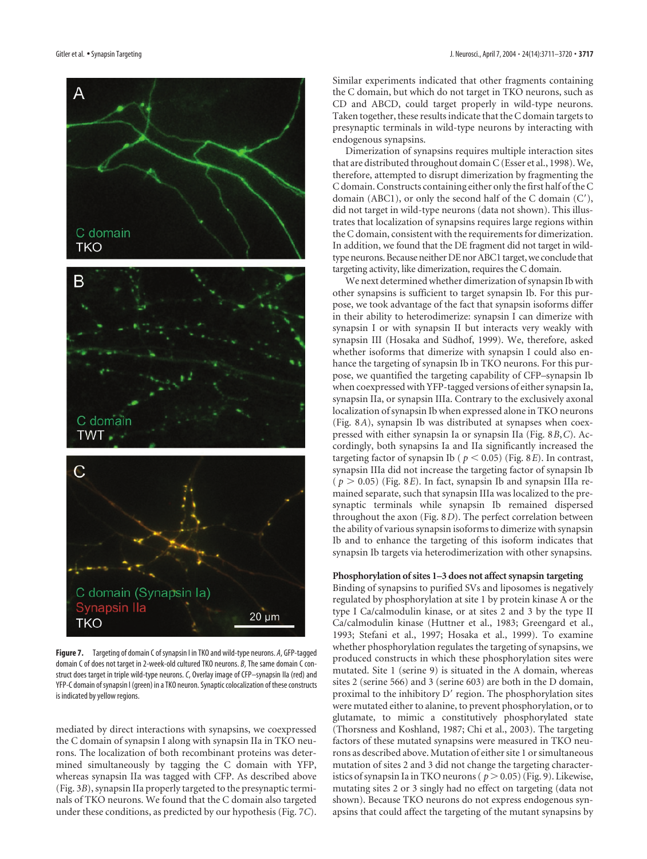

**Figure 7.** Targeting of domain C of synapsin I in TKO and wild-type neurons. *A*, GFP-tagged domain C of does not target in 2-week-old cultured TKO neurons. *B*, The same domain C construct does target in triple wild-type neurons. *C*, Overlay image of CFP–synapsin IIa (red) and YFP-C domain of synapsin I (green) in a TKO neuron. Synaptic colocalization of these constructs is indicated by yellow regions.

mediated by direct interactions with synapsins, we coexpressed the C domain of synapsin I along with synapsin IIa in TKO neurons. The localization of both recombinant proteins was determined simultaneously by tagging the C domain with YFP, whereas synapsin IIa was tagged with CFP. As described above (Fig. 3*B*), synapsin IIa properly targeted to the presynaptic terminals of TKO neurons. We found that the C domain also targeted under these conditions, as predicted by our hypothesis (Fig. 7*C*).

Similar experiments indicated that other fragments containing the C domain, but which do not target in TKO neurons, such as CD and ABCD, could target properly in wild-type neurons. Taken together, these results indicate that the C domain targets to presynaptic terminals in wild-type neurons by interacting with endogenous synapsins.

Dimerization of synapsins requires multiple interaction sites that are distributed throughout domain C (Esser et al., 1998). We, therefore, attempted to disrupt dimerization by fragmenting the C domain. Constructs containing either only the first half of the C domain (ABC1), or only the second half of the C domain (C), did not target in wild-type neurons (data not shown). This illustrates that localization of synapsins requires large regions within the C domain, consistent with the requirements for dimerization. In addition, we found that the DE fragment did not target in wildtype neurons. Because neither DE nor ABC1 target, we conclude that targeting activity, like dimerization, requires the C domain.

We next determined whether dimerization of synapsin Ib with other synapsins is sufficient to target synapsin Ib. For this purpose, we took advantage of the fact that synapsin isoforms differ in their ability to heterodimerize: synapsin I can dimerize with synapsin I or with synapsin II but interacts very weakly with synapsin III (Hosaka and Südhof, 1999). We, therefore, asked whether isoforms that dimerize with synapsin I could also enhance the targeting of synapsin Ib in TKO neurons. For this purpose, we quantified the targeting capability of CFP–synapsin Ib when coexpressed with YFP-tagged versions of either synapsin Ia, synapsin IIa, or synapsin IIIa. Contrary to the exclusively axonal localization of synapsin Ib when expressed alone in TKO neurons (Fig. 8*A*), synapsin Ib was distributed at synapses when coexpressed with either synapsin Ia or synapsin IIa (Fig. 8*B*,*C*). Accordingly, both synapsins Ia and IIa significantly increased the targeting factor of synapsin Ib ( $p < 0.05$ ) (Fig. 8*E*). In contrast, synapsin IIIa did not increase the targeting factor of synapsin Ib  $(p > 0.05)$  (Fig. 8*E*). In fact, synapsin Ib and synapsin IIIa remained separate, such that synapsin IIIa was localized to the presynaptic terminals while synapsin Ib remained dispersed throughout the axon (Fig. 8*D*). The perfect correlation between the ability of various synapsin isoforms to dimerize with synapsin Ib and to enhance the targeting of this isoform indicates that synapsin Ib targets via heterodimerization with other synapsins.

## **Phosphorylation of sites 1–3 does not affect synapsin targeting**

Binding of synapsins to purified SVs and liposomes is negatively regulated by phosphorylation at site 1 by protein kinase A or the type I Ca/calmodulin kinase, or at sites 2 and 3 by the type II Ca/calmodulin kinase (Huttner et al., 1983; Greengard et al., 1993; Stefani et al., 1997; Hosaka et al., 1999). To examine whether phosphorylation regulates the targeting of synapsins, we produced constructs in which these phosphorylation sites were mutated. Site 1 (serine 9) is situated in the A domain, whereas sites 2 (serine 566) and 3 (serine 603) are both in the D domain, proximal to the inhibitory  $D'$  region. The phosphorylation sites were mutated either to alanine, to prevent phosphorylation, or to glutamate, to mimic a constitutively phosphorylated state (Thorsness and Koshland, 1987; Chi et al., 2003). The targeting factors of these mutated synapsins were measured in TKO neurons as described above. Mutation of either site 1 or simultaneous mutation of sites 2 and 3 did not change the targeting characteristics of synapsin Ia in TKO neurons  $(p > 0.05)$  (Fig. 9). Likewise, mutating sites 2 or 3 singly had no effect on targeting (data not shown). Because TKO neurons do not express endogenous synapsins that could affect the targeting of the mutant synapsins by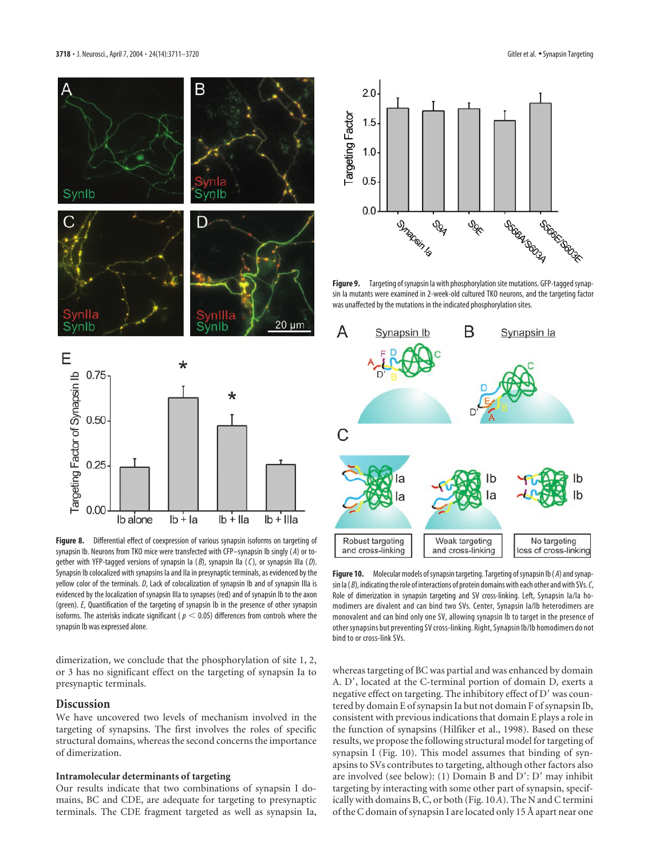

**Figure 8.** Differential effect of coexpression of various synapsin isoforms on targeting of synapsin Ib. Neurons from TKO mice were transfected with CFP–synapsin Ib singly ( *A*) or together with YFP-tagged versions of synapsin Ia ( *B*), synapsin IIa (*C*), or synapsin IIIa ( *D*). Synapsin Ib colocalized with synapsins Ia and IIa in presynaptic terminals, as evidenced by the yellow color of the terminals. *D*, Lack of colocalization of synapsin Ib and of synapsin IIIa is evidenced by the localization of synapsin IIIa to synapses (red) and of synapsin Ib to the axon (green). *E*, Quantification of the targeting of synapsin Ib in the presence of other synapsin isoforms. The asterisks indicate significant ( $p < 0.05$ ) differences from controls where the synapsin Ib was expressed alone.

dimerization, we conclude that the phosphorylation of site 1, 2, or 3 has no significant effect on the targeting of synapsin Ia to presynaptic terminals.

## **Discussion**

We have uncovered two levels of mechanism involved in the targeting of synapsins. The first involves the roles of specific structural domains, whereas the second concerns the importance of dimerization.

#### **Intramolecular determinants of targeting**

Our results indicate that two combinations of synapsin I domains, BC and CDE, are adequate for targeting to presynaptic terminals. The CDE fragment targeted as well as synapsin Ia,



**Figure 9.** Targeting of synapsin Ia with phosphorylation site mutations. GFP-tagged synapsin Ia mutants were examined in 2-week-old cultured TKO neurons, and the targeting factor was unaffected by the mutations in the indicated phosphorylation sites.



**Figure 10.** Molecular models of synapsin targeting. Targeting of synapsin Ib ( *A*) and synapsin Ia ( *B*), indicating the role of interactions of protein domains with each other and with SVs.*C*, Role of dimerization in synapsin targeting and SV cross-linking. Left, Synapsin Ia/Ia homodimers are divalent and can bind two SVs. Center, Synapsin Ia/Ib heterodimers are monovalent and can bind only one SV, allowing synapsin Ib to target in the presence of other synapsins but preventing SV cross-linking. Right, Synapsin Ib/Ib homodimers do not bind to or cross-link SVs.

whereas targeting of BC was partial and was enhanced by domain A. D', located at the C-terminal portion of domain D, exerts a negative effect on targeting. The inhibitory effect of D' was countered by domain E of synapsin Ia but not domain F of synapsin Ib, consistent with previous indications that domain E plays a role in the function of synapsins (Hilfiker et al., 1998). Based on these results, we propose the following structural model for targeting of synapsin I (Fig. 10). This model assumes that binding of synapsins to SVs contributes to targeting, although other factors also are involved (see below): (1) Domain B and  $D'$ :  $D'$  may inhibit targeting by interacting with some other part of synapsin, specifically with domains B, C, or both (Fig. 10*A*). The N and C termini of the C domain of synapsin I are located only 15 Å apart near one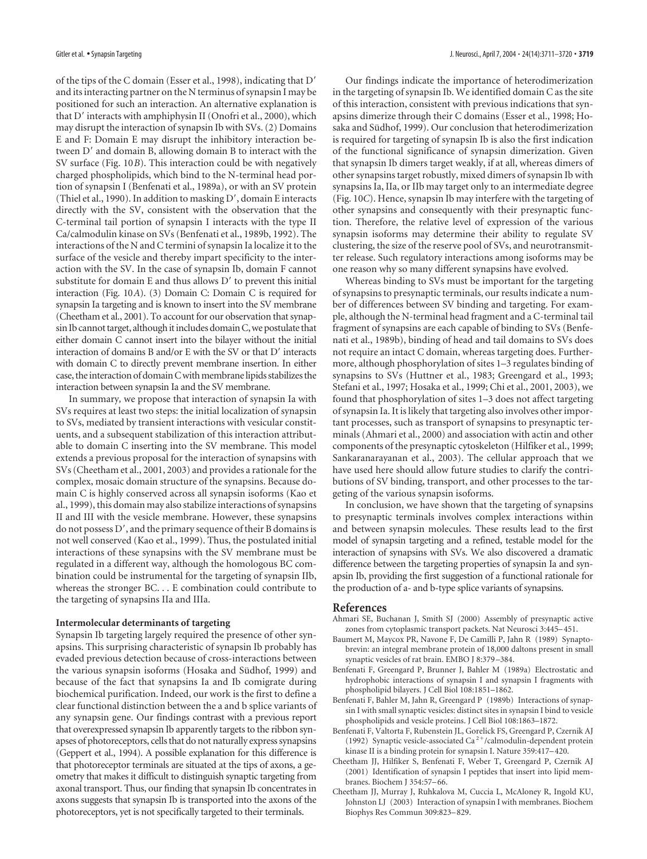of the tips of the C domain (Esser et al., 1998), indicating that D and its interacting partner on the N terminus of synapsin I may be positioned for such an interaction. An alternative explanation is that D' interacts with amphiphysin II (Onofri et al., 2000), which may disrupt the interaction of synapsin Ib with SVs. (2) Domains E and F: Domain E may disrupt the inhibitory interaction between D' and domain B, allowing domain B to interact with the SV surface (Fig. 10*B*). This interaction could be with negatively charged phospholipids, which bind to the N-terminal head portion of synapsin I (Benfenati et al., 1989a), or with an SV protein (Thiel et al., 1990). In addition to masking  $D'$ , domain E interacts directly with the SV, consistent with the observation that the C-terminal tail portion of synapsin I interacts with the type II Ca/calmodulin kinase on SVs (Benfenati et al., 1989b, 1992). The interactions of the N and C termini of synapsin Ia localize it to the surface of the vesicle and thereby impart specificity to the interaction with the SV. In the case of synapsin Ib, domain F cannot substitute for domain  $E$  and thus allows  $D'$  to prevent this initial interaction (Fig. 10*A*). (3) Domain C: Domain C is required for synapsin Ia targeting and is known to insert into the SV membrane (Cheetham et al., 2001). To account for our observation that synapsin Ib cannot target, although it includes domain C, we postulate that either domain C cannot insert into the bilayer without the initial interaction of domains B and/or E with the SV or that D' interacts with domain C to directly prevent membrane insertion. In either case, the interaction of domain C with membrane lipids stabilizes the interaction between synapsin Ia and the SV membrane.

In summary*,* we propose that interaction of synapsin Ia with SVs requires at least two steps: the initial localization of synapsin to SVs, mediated by transient interactions with vesicular constituents, and a subsequent stabilization of this interaction attributable to domain C inserting into the SV membrane. This model extends a previous proposal for the interaction of synapsins with SVs (Cheetham et al., 2001, 2003) and provides a rationale for the complex, mosaic domain structure of the synapsins. Because domain C is highly conserved across all synapsin isoforms (Kao et al., 1999), this domain may also stabilize interactions of synapsins II and III with the vesicle membrane. However, these synapsins do not possess  $D'$ , and the primary sequence of their B domains is not well conserved (Kao et al., 1999). Thus, the postulated initial interactions of these synapsins with the SV membrane must be regulated in a different way, although the homologous BC combination could be instrumental for the targeting of synapsin IIb, whereas the stronger BC. . . E combination could contribute to the targeting of synapsins IIa and IIIa.

#### **Intermolecular determinants of targeting**

Synapsin Ib targeting largely required the presence of other synapsins. This surprising characteristic of synapsin Ib probably has evaded previous detection because of cross-interactions between the various synapsin isoforms (Hosaka and Südhof, 1999) and because of the fact that synapsins Ia and Ib comigrate during biochemical purification. Indeed, our work is the first to define a clear functional distinction between the a and b splice variants of any synapsin gene. Our findings contrast with a previous report that overexpressed synapsin Ib apparently targets to the ribbon synapses of photoreceptors, cells that do not naturally express synapsins (Geppert et al., 1994). A possible explanation for this difference is that photoreceptor terminals are situated at the tips of axons, a geometry that makes it difficult to distinguish synaptic targeting from axonal transport. Thus, our finding that synapsin Ib concentrates in axons suggests that synapsin Ib is transported into the axons of the photoreceptors, yet is not specifically targeted to their terminals.

Our findings indicate the importance of heterodimerization in the targeting of synapsin Ib. We identified domain C as the site of this interaction, consistent with previous indications that synapsins dimerize through their C domains (Esser et al., 1998; Hosaka and Südhof, 1999). Our conclusion that heterodimerization is required for targeting of synapsin Ib is also the first indication of the functional significance of synapsin dimerization. Given that synapsin Ib dimers target weakly, if at all, whereas dimers of other synapsins target robustly, mixed dimers of synapsin Ib with synapsins Ia, IIa, or IIb may target only to an intermediate degree (Fig. 10*C*). Hence, synapsin Ib may interfere with the targeting of other synapsins and consequently with their presynaptic function. Therefore, the relative level of expression of the various synapsin isoforms may determine their ability to regulate SV clustering, the size of the reserve pool of SVs, and neurotransmitter release. Such regulatory interactions among isoforms may be one reason why so many different synapsins have evolved.

Whereas binding to SVs must be important for the targeting of synapsins to presynaptic terminals, our results indicate a number of differences between SV binding and targeting. For example, although the N-terminal head fragment and a C-terminal tail fragment of synapsins are each capable of binding to SVs (Benfenati et al., 1989b), binding of head and tail domains to SVs does not require an intact C domain, whereas targeting does. Furthermore, although phosphorylation of sites 1–3 regulates binding of synapsins to SVs (Huttner et al., 1983; Greengard et al., 1993; Stefani et al., 1997; Hosaka et al., 1999; Chi et al., 2001, 2003), we found that phosphorylation of sites 1–3 does not affect targeting of synapsin Ia. It is likely that targeting also involves other important processes, such as transport of synapsins to presynaptic terminals (Ahmari et al., 2000) and association with actin and other components of the presynaptic cytoskeleton (Hilfiker et al., 1999; Sankaranarayanan et al., 2003). The cellular approach that we have used here should allow future studies to clarify the contributions of SV binding, transport, and other processes to the targeting of the various synapsin isoforms.

In conclusion, we have shown that the targeting of synapsins to presynaptic terminals involves complex interactions within and between synapsin molecules. These results lead to the first model of synapsin targeting and a refined, testable model for the interaction of synapsins with SVs. We also discovered a dramatic difference between the targeting properties of synapsin Ia and synapsin Ib, providing the first suggestion of a functional rationale for the production of a- and b-type splice variants of synapsins.

#### **References**

- Ahmari SE, Buchanan J, Smith SJ (2000) Assembly of presynaptic active zones from cytoplasmic transport packets. Nat Neurosci 3:445–451.
- Baumert M, Maycox PR, Navone F, De Camilli P, Jahn R (1989) Synaptobrevin: an integral membrane protein of 18,000 daltons present in small synaptic vesicles of rat brain. EMBO J 8:379–384.
- Benfenati F, Greengard P, Brunner J, Bahler M (1989a) Electrostatic and hydrophobic interactions of synapsin I and synapsin I fragments with phospholipid bilayers. J Cell Biol 108:1851–1862.
- Benfenati F, Bahler M, Jahn R, Greengard P (1989b) Interactions of synapsin I with small synaptic vesicles: distinct sites in synapsin I bind to vesicle phospholipids and vesicle proteins. J Cell Biol 108:1863–1872.
- Benfenati F, Valtorta F, Rubenstein JL, Gorelick FS, Greengard P, Czernik AJ (1992) Synaptic vesicle-associated Ca<sup>2+</sup>/calmodulin-dependent protein kinase II is a binding protein for synapsin I. Nature 359:417–420.
- Cheetham JJ, Hilfiker S, Benfenati F, Weber T, Greengard P, Czernik AJ (2001) Identification of synapsin I peptides that insert into lipid membranes. Biochem J 354:57–66.
- Cheetham JJ, Murray J, Ruhkalova M, Cuccia L, McAloney R, Ingold KU, Johnston LJ (2003) Interaction of synapsin I with membranes. Biochem Biophys Res Commun 309:823–829.